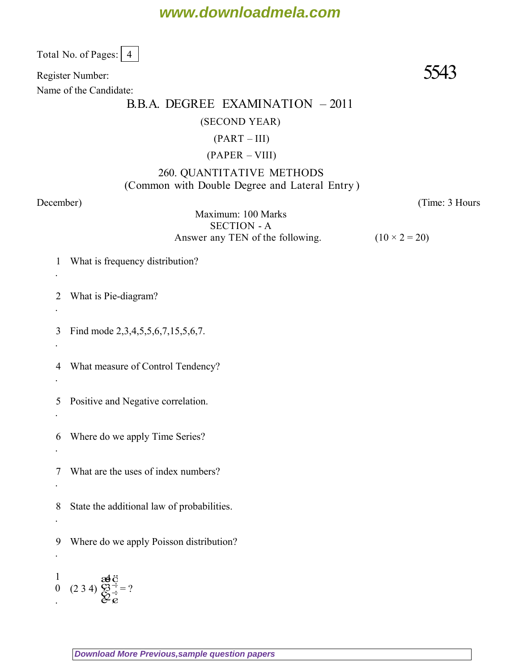Total No. of Pages: 4

Register Number:  $5543$ 

Name of the Candidate:

### B.B.A. DEGREE EXAMINATION – 2011

#### (SECOND YEAR)

#### $(PART - III)$

#### (PAPER – VIII)

### 260. QUANTITATIVE METHODS (Common with Double Degree and Lateral Entry )

.

.

.

.

.

.

.

.

.

*December*) (*Time: 3 Hours*

Maximum: 100 Marks SECTION - A Answer any TEN of the following.  $(10 \times 2 = 20)$ 

1 What is frequency distribution?

2 What is Pie-diagram?

3 Find mode 2,3,4,5,5,6,7,15,5,6,7.

4 What measure of Control Tendency?

5 Positive and Negative correlation.

6 Where do we apply Time Series?

7 What are the uses of index numbers?

8 State the additional law of probabilities.

9 Where do we apply Poisson distribution?

1 0 0  $(2\ 3\ 4)$   $\bigotimes_{\mathcal{Q}} \frac{1}{\mathcal{Q}}$  $\ddot{\vec{C}}$ ÷<br>Ø  $\vec{Q}$ ç<br>Ş æ<br>Ç Ë  $\frac{d}{dx}$ 2 3 4  $= ?$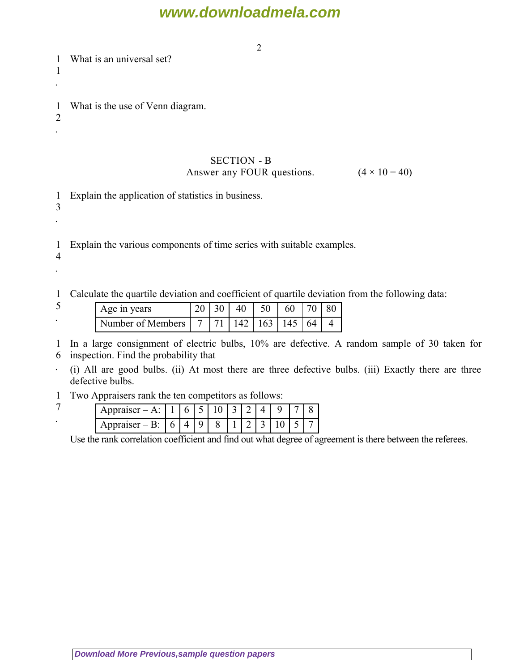2

1 1 What is an universal set?

.

2 .

3 .

4 .

1 What is the use of Venn diagram.

### SECTION - B Answer any FOUR questions.  $(4 \times 10 = 40)$

1 Explain the application of statistics in business.

1 Explain the various components of time series with suitable examples.

1 Calculate the quartile deviation and coefficient of quartile deviation from the following data:

| ت | Age in years                                          |  | 20   30   40   50   60   70   80 |  |  |
|---|-------------------------------------------------------|--|----------------------------------|--|--|
|   | Number of Members   7   71   142   163   145   64   4 |  |                                  |  |  |

1 In a large consignment of electric bulbs, 10% are defective. A random sample of 30 taken for

6 inspection. Find the probability that

. (i) All are good bulbs. (ii) At most there are three defective bulbs. (iii) Exactly there are three defective bulbs.

1 Two Appraisers rank the ten competitors as follows:

7 .

| $A$ ppraisc      |     |   | -<br>ັ |   | $\tilde{\phantom{a}}$ |   |   |   |  |
|------------------|-----|---|--------|---|-----------------------|---|---|---|--|
| SPT<br>Appraiser | . — | ັ | u      | ັ |                       | ∸ | - | ╰ |  |

Use the rank correlation coefficient and find out what degree of agreement is there between the referees.

**[Download More Previous,sample question papers](http://downloadmela.com/pages/previouspapers/previouspapers.html)**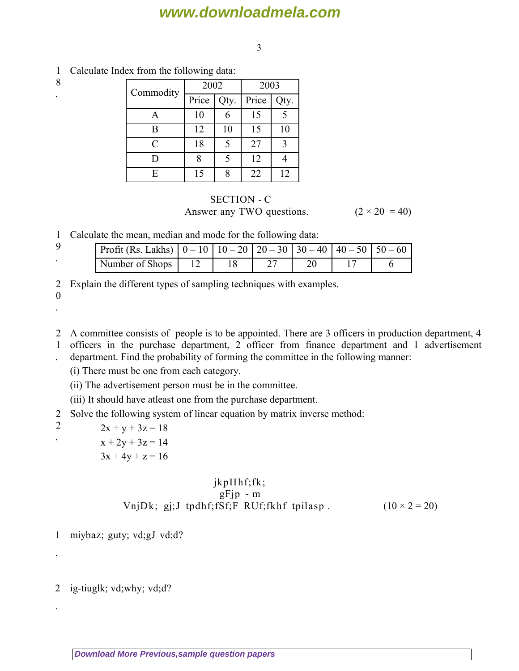3

- Commodity 2002 2003 Price  $\sqrt{\text{Qty}}$ . Price  $\sqrt{\text{Qty}}$ . A | 10 | 6 | 15 | 5 B | 12 | 10 | 15 | 10  $C \begin{array}{|c|c|c|c|c|c|c|c|} \hline \end{array}$  18  $\begin{array}{|c|c|c|c|c|c|} \hline \end{array}$  5  $\begin{array}{|c|c|c|c|c|} \hline \end{array}$  27  $\begin{array}{|c|c|c|c|c|} \hline \end{array}$ D  $8 \mid 5 \mid 12 \mid 4$ E | 15 | 8 | 22 | 12
- 1 Calculate Index from the following data: 8

### SECTION - C Answer any TWO questions.  $(2 \times 20 = 40)$

1 Calculate the mean, median and mode for the following data:

| Profit (Rs. Lakhs) $\vert 0 - 10 \vert 10 - 20 \vert 20 - 30 \vert 30 - 40 \vert 40 - 50 \vert 50 - 60$ |  |  |  |
|---------------------------------------------------------------------------------------------------------|--|--|--|
| Number of Shops                                                                                         |  |  |  |

2 Explain the different types of sampling techniques with examples.

0 .

.

- 2 A committee consists of people is to be appointed. There are 3 officers in production department, 4
- 1 officers in the purchase department, 2 officer from finance department and 1 advertisement
- . department. Find the probability of forming the committee in the following manner:
	- (i) There must be one from each category.
	- (ii) The advertisement person must be in the committee.
	- (iii) It should have atleast one from the purchase department.
- 2 Solve the following system of linear equation by matrix inverse method:
- 2

.

.

.

 $2x + y + 3z = 18$  $x + 2y + 3z = 14$ 

$$
3x + 4y + z = 16
$$

### $jkpH$ hf;fk;  $gF$ jp - m VnjDk; gj;J tpdhf;fSf;F RUf;fkhf tpilasp .  $(10 \times 2 = 20)$

1 miybaz; guty; vd;gJ vd;d?

2 ig-tiuglk; vd;why; vd;d?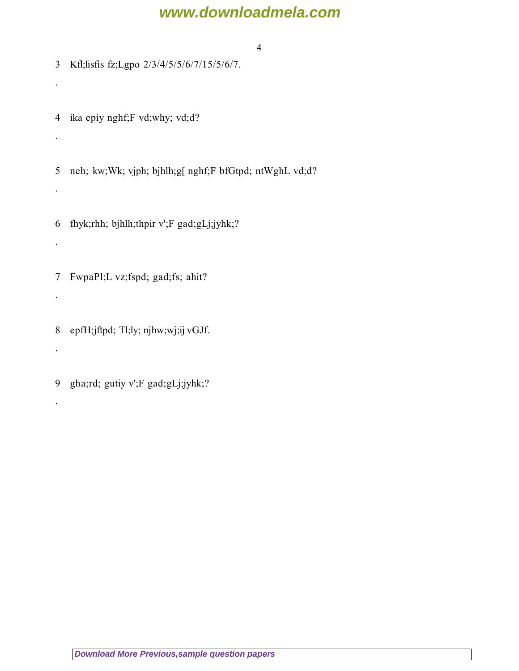4

3 Kfl;lisfis fz;Lgpo 2/3/4/5/5/6/7/15/5/6/7.

4 ika epiy nghf;F vd;why; vd;d?

.

.

.

.

.

.

.

5 neh; kw;Wk; vjph; bjhlh;g[ nghf;F bfGtpd; ntWghL vd;d?

6 fhyk;rhh; bjhlh;thpir v';F gad;gLj;jyhk;?

7 FwpaPl;L vz;fspd; gad;fs; ahit?

8 epfH;jftpd; Tl;ly; njhw;wj;ij vGJf.

9 gha;rd; gutiy v';F gad;gLj;jyhk;?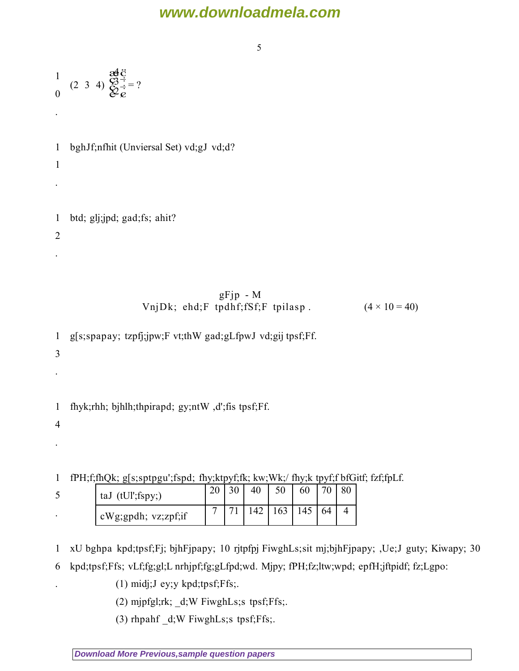5

|                                | $\frac{1}{0}$ (2 3 4) $\frac{\text{ad}\ddot{\text{d}}}{\text{d}\text{d}x} = ?$ |                      |
|--------------------------------|--------------------------------------------------------------------------------|----------------------|
| $\bullet$                      |                                                                                |                      |
| $\mathbf{1}$<br>$\mathbf{1}$   | bghJf;nfhit (Unviersal Set) vd;gJ vd;d?                                        |                      |
|                                |                                                                                |                      |
| $\mathbf{1}$<br>$\overline{2}$ | btd; glj;jpd; gad;fs; ahit?                                                    |                      |
|                                |                                                                                |                      |
|                                | $gFjp - M$<br>VnjDk; ehd;F tpdhf;fSf;F tpilasp.                                | $(4 \times 10 = 40)$ |
| $\mathbf{1}$<br>3              | g[s;spapay; tzpfj;jpw;F vt;thW gad;gLfpwJ vd;gij tpsf;Ff.                      |                      |
|                                |                                                                                |                      |

1 fhyk;rhh; bjhlh;thpirapd; gy;ntW ,d';fis tpsf;Ff.

4

.

.

1 fPH;f;fhQk; g[s;sptpgu';fspd; fhy;ktpyf;fk; kw;Wk;/ fhy;k tpyf;f bfGitf; fzf;fpLf.

| ◡ | taJ $(tUI'; fspy; )$            | ററ             | 40 | 50  | 60  | $\neg$ |  |
|---|---------------------------------|----------------|----|-----|-----|--------|--|
|   | $\alpha$ cWg; gpdh; vz; zpf; if | $\overline{ }$ |    | 163 | 145 | 64     |  |

1 xU bghpa kpd;tpsf;Fj; bjhFjpapy; 10 rjtpfpj FiwghLs;sit mj;bjhFjpapy; ,Ue;J guty; Kiwapy; 30

6 kpd;tpsf;Ffs; vLf;fg;gl;L nrhjpf;fg;gLfpd;wd. Mjpy; fPH;fz;ltw;wpd; epfH;jftpidf; fz;Lgpo:

- (1) midj;J ey;y kpd;tpsf;Ffs;.
- (2) mjpfgl;rk; \_d;W FiwghLs;s tpsf;Ffs;.
- (3) rhpahf \_d;W FiwghLs;s tpsf;Ffs;.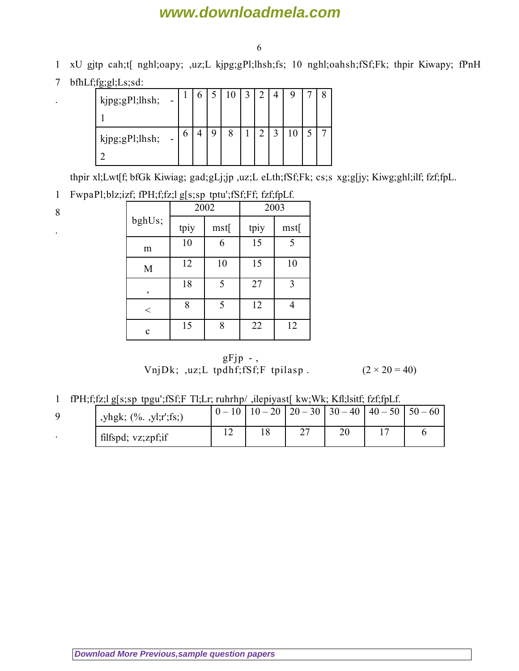6

- 1 xU gjtp cah;t[ nghl;oapy; ,uz;L kjpg;gPl;lhsh;fs; 10 nghl;oahsh;fSf;Fk; thpir Kiwapy; fPnH
- 7 bfhLf;fg;gl;Ls;sd:

| kjpg;gPl;lhsh;<br>$\sim$ |   |  |         | 3 | $\overline{c}$ |                   |  |  |
|--------------------------|---|--|---------|---|----------------|-------------------|--|--|
| kjpg;gPl;lhsh;<br>$\sim$ | O |  | $\circ$ |   | $\overline{2}$ | $\mathbf{\Omega}$ |  |  |

thpir xl;Lwt[f; bfGk Kiwiag; gad;gLj;jp ,uz;L eLth;fSf;Fk; cs;s xg;g[jy; Kiwg;ghl;ilf; fzf;fpL.

#### 1 FwpaPl;blz;izf; fPH;f;fz;l g[s;sp tptu';fSf;Ff; fzf;fpLf.

| ٠<br>I<br>i<br>۰.<br>×<br>۰. |  |
|------------------------------|--|
|                              |  |

.

.

|         | ັັ   | 2002 | 2003 |      |  |  |
|---------|------|------|------|------|--|--|
| bghUs;  | tpiy | mst[ | tpiy | mst[ |  |  |
| m       | 10   | 6    | 15   | 5    |  |  |
| M       | 12   | 10   | 15   | 10   |  |  |
| $\,$    | 18   | 5    | 27   | 3    |  |  |
| $\,<\,$ | 8    | 5    | 12   |      |  |  |
| c       | 15   | 8    | 22   | 12   |  |  |

 $gFjp - ,$ VnjDk; ,uz;L tpdhf;fSf;F tpilasp .  $(2 \times 20 = 40)$ 

1 fPH;f;fz;l g[s;sp tpgu';fSf;F Tl;Lr; ruhrhp/ ,ilepiyast[ kw;Wk; Kfl;lsitf; fzf;fpLf.

| ,yhgk; (%. ,yl;r';fs;) |  | $0-10$   $10-20$   $20-30$   $30-40$   $40-50$   $50-60$ |  |  |
|------------------------|--|----------------------------------------------------------|--|--|
| filfspd; vz;zpf;if     |  | ∼                                                        |  |  |